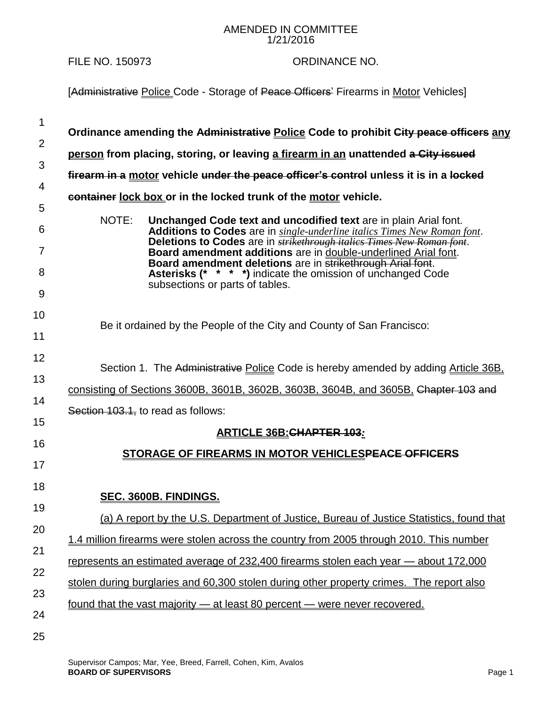## AMENDED IN COMMITTEE 1/21/2016

## FILE NO. 150973 ORDINANCE NO.

[Administrative Police Code - Storage of Peace Officers' Firearms in Motor Vehicles]

| 1              | Ordinance amending the Administrative Police Code to prohibit City peace officers any                                                                        |
|----------------|--------------------------------------------------------------------------------------------------------------------------------------------------------------|
| 2              |                                                                                                                                                              |
| 3              | person from placing, storing, or leaving a firearm in an unattended a City issued                                                                            |
| 4              | firearm in a motor vehicle under the peace officer's control unless it is in a locked                                                                        |
| 5              | container lock box or in the locked trunk of the motor vehicle.                                                                                              |
| 6              | NOTE:<br>Unchanged Code text and uncodified text are in plain Arial font.<br><b>Additions to Codes</b> are in single-underline italics Times New Roman font. |
| $\overline{7}$ | Deletions to Codes are in <b>strikethrough italics Times New Roman font</b> .<br>Board amendment additions are in double-underlined Arial font.              |
| 8              | Board amendment deletions are in strikethrough Arial font.<br><b>Asterisks (* * * *)</b> indicate the omission of unchanged Code                             |
| 9              | subsections or parts of tables.                                                                                                                              |
| 10             |                                                                                                                                                              |
| 11             | Be it ordained by the People of the City and County of San Francisco:                                                                                        |
| 12             |                                                                                                                                                              |
| 13             | Section 1. The Administrative Police Code is hereby amended by adding Article 36B.                                                                           |
| 14             | consisting of Sections 3600B, 3601B, 3602B, 3603B, 3604B, and 3605B, Chapter 103 and                                                                         |
|                | Section 103.1, to read as follows:                                                                                                                           |
| 15             | <b>ARTICLE 36B: CHAPTER 103:</b>                                                                                                                             |
| 16             | STORAGE OF FIREARMS IN MOTOR VEHICLESPEACE OFFICERS                                                                                                          |
| 17             |                                                                                                                                                              |
| 18             |                                                                                                                                                              |
| 19             | <b>SEC. 3600B. FINDINGS.</b>                                                                                                                                 |
| 20             | (a) A report by the U.S. Department of Justice, Bureau of Justice Statistics, found that                                                                     |
| 21             | 1.4 million firearms were stolen across the country from 2005 through 2010. This number                                                                      |
|                | represents an estimated average of 232,400 firearms stolen each year - about 172,000                                                                         |
| 22             | stolen during burglaries and 60,300 stolen during other property crimes. The report also                                                                     |
| 23             | <u>found that the vast majority – at least 80 percent – were never recovered.</u>                                                                            |
| 24             |                                                                                                                                                              |
|                |                                                                                                                                                              |

25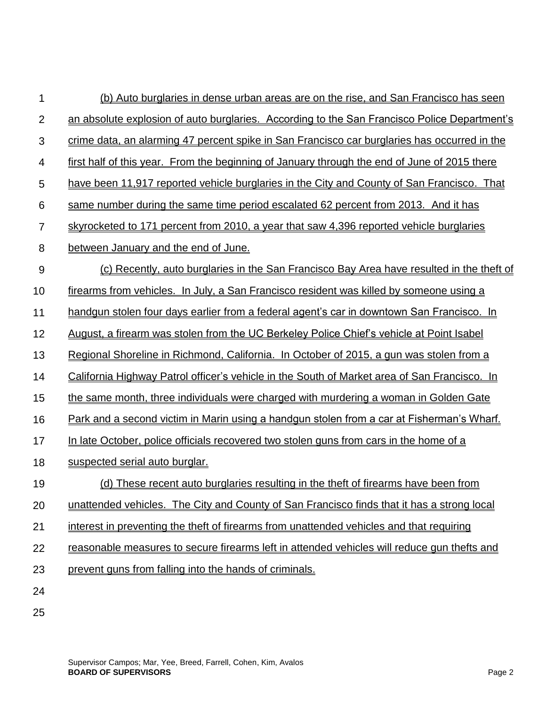| 1              | (b) Auto burglaries in dense urban areas are on the rise, and San Francisco has seen         |
|----------------|----------------------------------------------------------------------------------------------|
| $\overline{2}$ | an absolute explosion of auto burglaries. According to the San Francisco Police Department's |
| 3              | crime data, an alarming 47 percent spike in San Francisco car burglaries has occurred in the |
| $\overline{4}$ | first half of this year. From the beginning of January through the end of June of 2015 there |
| 5              | have been 11,917 reported vehicle burglaries in the City and County of San Francisco. That   |
| 6              | same number during the same time period escalated 62 percent from 2013. And it has           |
| $\overline{7}$ | skyrocketed to 171 percent from 2010, a year that saw 4,396 reported vehicle burglaries      |
| 8              | between January and the end of June.                                                         |
| 9              | (c) Recently, auto burglaries in the San Francisco Bay Area have resulted in the theft of    |
| 10             | firearms from vehicles. In July, a San Francisco resident was killed by someone using a      |
| 11             | handgun stolen four days earlier from a federal agent's car in downtown San Francisco. In    |
| 12             | August, a firearm was stolen from the UC Berkeley Police Chief's vehicle at Point Isabel     |
| 13             | Regional Shoreline in Richmond, California. In October of 2015, a gun was stolen from a      |
| 14             | California Highway Patrol officer's vehicle in the South of Market area of San Francisco. In |
| 15             | the same month, three individuals were charged with murdering a woman in Golden Gate         |
| 16             | Park and a second victim in Marin using a handgun stolen from a car at Fisherman's Wharf.    |
| 17             | In late October, police officials recovered two stolen guns from cars in the home of a       |
| 18             | suspected serial auto burglar.                                                               |
| 19             | (d) These recent auto burglaries resulting in the theft of firearms have been from           |
| 20             | unattended vehicles. The City and County of San Francisco finds that it has a strong local   |
| 21             | interest in preventing the theft of firearms from unattended vehicles and that requiring     |
| 22             | reasonable measures to secure firearms left in attended vehicles will reduce gun thefts and  |
| 23             | prevent guns from falling into the hands of criminals.                                       |
| 24             |                                                                                              |
| 25             |                                                                                              |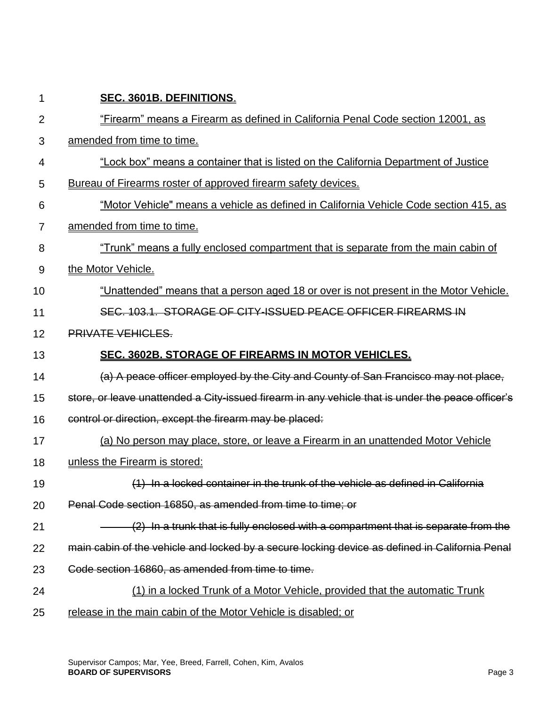| 1              | SEC. 3601B. DEFINITIONS.                                                                          |
|----------------|---------------------------------------------------------------------------------------------------|
| $\overline{2}$ | "Firearm" means a Firearm as defined in California Penal Code section 12001, as                   |
| 3              | amended from time to time.                                                                        |
| 4              | "Lock box" means a container that is listed on the California Department of Justice               |
| 5              | Bureau of Firearms roster of approved firearm safety devices.                                     |
| 6              | "Motor Vehicle" means a vehicle as defined in California Vehicle Code section 415, as             |
| 7              | amended from time to time.                                                                        |
| 8              | "Trunk" means a fully enclosed compartment that is separate from the main cabin of                |
| 9              | the Motor Vehicle.                                                                                |
| 10             | "Unattended" means that a person aged 18 or over is not present in the Motor Vehicle.             |
| 11             | SEC. 103.1. STORAGE OF CITY-ISSUED PEACE OFFICER FIREARMS IN                                      |
| 12             | <b>PRIVATE VEHICLES.</b>                                                                          |
| 13             | SEC. 3602B. STORAGE OF FIREARMS IN MOTOR VEHICLES.                                                |
| 14             | (a) A peace officer employed by the City and County of San Francisco may not place,               |
| 15             | store, or leave unattended a City-issued firearm in any vehicle that is under the peace officer's |
| 16             | control or direction, except the firearm may be placed:                                           |
| 17             | (a) No person may place, store, or leave a Firearm in an unattended Motor Vehicle                 |
| 18             | unless the Firearm is stored:                                                                     |
| 19             | $(1)$ In a locked container in the trunk of the vehicle as defined in California                  |
| 20             | Penal Code section 16850, as amended from time to time; or                                        |
| 21             | $(2)$ In a trunk that is fully enclosed with a compartment that is separate from the              |
| 22             | main cabin of the vehicle and locked by a secure locking device as defined in California Penal    |
| 23             | Code section 16860, as amended from time to time.                                                 |
| 24             | (1) in a locked Trunk of a Motor Vehicle, provided that the automatic Trunk                       |
| 25             | release in the main cabin of the Motor Vehicle is disabled; or                                    |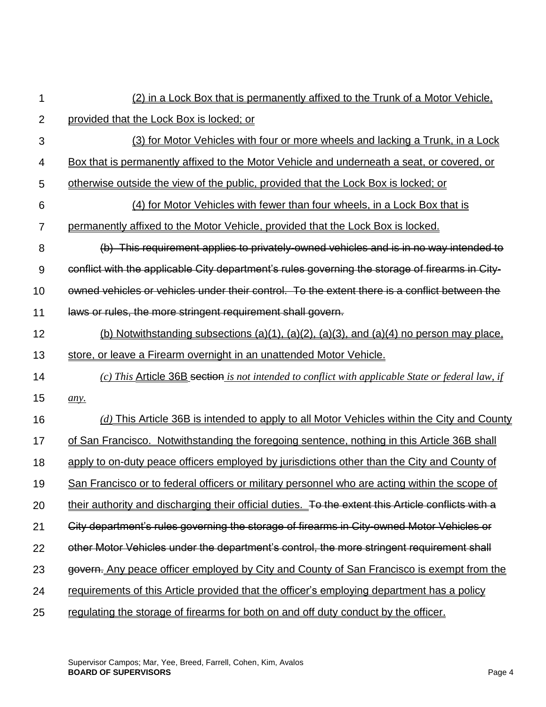| 1              | (2) in a Lock Box that is permanently affixed to the Trunk of a Motor Vehicle.                     |
|----------------|----------------------------------------------------------------------------------------------------|
| $\overline{2}$ | provided that the Lock Box is locked; or                                                           |
| $\mathfrak{S}$ | (3) for Motor Vehicles with four or more wheels and lacking a Trunk, in a Lock                     |
| 4              | Box that is permanently affixed to the Motor Vehicle and underneath a seat, or covered, or         |
| 5              | otherwise outside the view of the public, provided that the Lock Box is locked; or                 |
| 6              | (4) for Motor Vehicles with fewer than four wheels, in a Lock Box that is                          |
| $\overline{7}$ | permanently affixed to the Motor Vehicle, provided that the Lock Box is locked.                    |
| 8              | (b) This requirement applies to privately-owned vehicles and is in no way intended to              |
| 9              | conflict with the applicable City department's rules governing the storage of firearms in City-    |
| 10             | owned vehicles or vehicles under their control. To the extent there is a conflict between the      |
| 11             | laws or rules, the more stringent requirement shall govern.                                        |
| 12             | (b) Notwithstanding subsections (a)(1), (a)(2), (a)(3), and (a)(4) no person may place,            |
| 13             | store, or leave a Firearm overnight in an unattended Motor Vehicle.                                |
| 14             | (c) This Article 36B section is not intended to conflict with applicable State or federal law, if  |
| 15             | any.                                                                                               |
| 16             | $(d)$ This Article 36B is intended to apply to all Motor Vehicles within the City and County       |
| 17             | of San Francisco. Notwithstanding the foregoing sentence, nothing in this Article 36B shall        |
| 18             | apply to on-duty peace officers employed by jurisdictions other than the City and County of        |
| 19             | San Francisco or to federal officers or military personnel who are acting within the scope of      |
| 20             | their authority and discharging their official duties. To the extent this Article conflicts with a |
| 21             | City department's rules governing the storage of firearms in City-owned Motor Vehicles or          |
| 22             | other Motor Vehicles under the department's control, the more stringent requirement shall          |
| 23             | govern. Any peace officer employed by City and County of San Francisco is exempt from the          |
| 24             | requirements of this Article provided that the officer's employing department has a policy         |
| 25             | regulating the storage of firearms for both on and off duty conduct by the officer.                |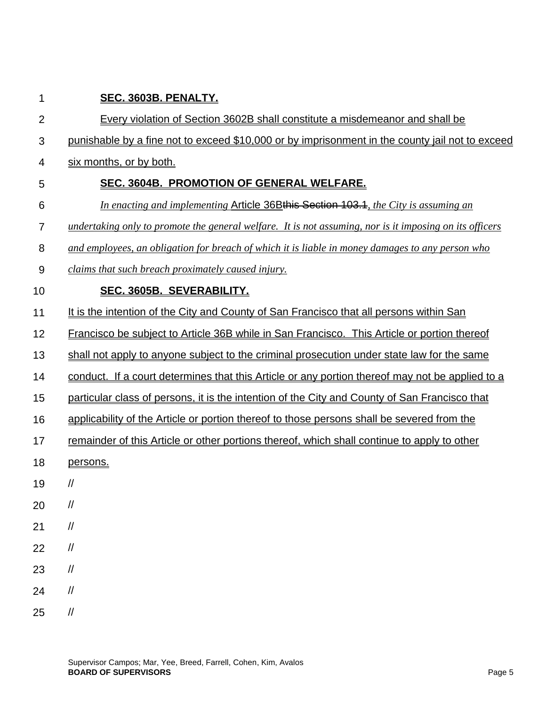| 1                | SEC. 3603B. PENALTY.                                                                                                                                                                                                                                                                                                                                                                                                                                                                                                       |
|------------------|----------------------------------------------------------------------------------------------------------------------------------------------------------------------------------------------------------------------------------------------------------------------------------------------------------------------------------------------------------------------------------------------------------------------------------------------------------------------------------------------------------------------------|
| $\overline{2}$   | Every violation of Section 3602B shall constitute a misdemeanor and shall be                                                                                                                                                                                                                                                                                                                                                                                                                                               |
| 3                | punishable by a fine not to exceed \$10,000 or by imprisonment in the county jail not to exceed                                                                                                                                                                                                                                                                                                                                                                                                                            |
| 4                | six months, or by both.                                                                                                                                                                                                                                                                                                                                                                                                                                                                                                    |
| 5                | SEC. 3604B. PROMOTION OF GENERAL WELFARE.                                                                                                                                                                                                                                                                                                                                                                                                                                                                                  |
| 6                | In enacting and implementing Article 36Bthis Section 103.1, the City is assuming an                                                                                                                                                                                                                                                                                                                                                                                                                                        |
| $\overline{7}$   | undertaking only to promote the general welfare. It is not assuming, nor is it imposing on its officers                                                                                                                                                                                                                                                                                                                                                                                                                    |
| 8                | and employees, an obligation for breach of which it is liable in money damages to any person who                                                                                                                                                                                                                                                                                                                                                                                                                           |
| $\boldsymbol{9}$ | claims that such breach proximately caused injury.                                                                                                                                                                                                                                                                                                                                                                                                                                                                         |
| 10               | SEC. 3605B. SEVERABILITY.                                                                                                                                                                                                                                                                                                                                                                                                                                                                                                  |
| 11               | It is the intention of the City and County of San Francisco that all persons within San                                                                                                                                                                                                                                                                                                                                                                                                                                    |
| 12               | Francisco be subject to Article 36B while in San Francisco. This Article or portion thereof                                                                                                                                                                                                                                                                                                                                                                                                                                |
| 13               | shall not apply to anyone subject to the criminal prosecution under state law for the same                                                                                                                                                                                                                                                                                                                                                                                                                                 |
| 14               | conduct. If a court determines that this Article or any portion thereof may not be applied to a                                                                                                                                                                                                                                                                                                                                                                                                                            |
| 15               | particular class of persons, it is the intention of the City and County of San Francisco that                                                                                                                                                                                                                                                                                                                                                                                                                              |
| 16               | applicability of the Article or portion thereof to those persons shall be severed from the                                                                                                                                                                                                                                                                                                                                                                                                                                 |
| 17               | remainder of this Article or other portions thereof, which shall continue to apply to other                                                                                                                                                                                                                                                                                                                                                                                                                                |
| 18               | persons.                                                                                                                                                                                                                                                                                                                                                                                                                                                                                                                   |
| 19               | //                                                                                                                                                                                                                                                                                                                                                                                                                                                                                                                         |
| 20               | //                                                                                                                                                                                                                                                                                                                                                                                                                                                                                                                         |
| 21               | $\sqrt{}$                                                                                                                                                                                                                                                                                                                                                                                                                                                                                                                  |
| 22               | $\sqrt{2}$                                                                                                                                                                                                                                                                                                                                                                                                                                                                                                                 |
| 23               | $\sqrt{2}$                                                                                                                                                                                                                                                                                                                                                                                                                                                                                                                 |
| 24               | $\sqrt{2}$                                                                                                                                                                                                                                                                                                                                                                                                                                                                                                                 |
| 25               | $\mathcal{U}% _{0}\left( t\right) \equiv\mathcal{U}_{0}\left( t\right) \equiv\mathcal{U}_{0}\left( t\right) \equiv\mathcal{U}_{0}\left( t\right) \equiv\mathcal{U}_{0}\left( t\right) \equiv\mathcal{U}_{0}\left( t\right) \equiv\mathcal{U}_{0}\left( t\right) \equiv\mathcal{U}_{0}\left( t\right) \equiv\mathcal{U}_{0}\left( t\right) \equiv\mathcal{U}_{0}\left( t\right) \equiv\mathcal{U}_{0}\left( t\right) \equiv\mathcal{U}_{0}\left( t\right) \equiv\mathcal{U}_{0}\left( t\right) \equiv\mathcal{U}_{0}\left($ |